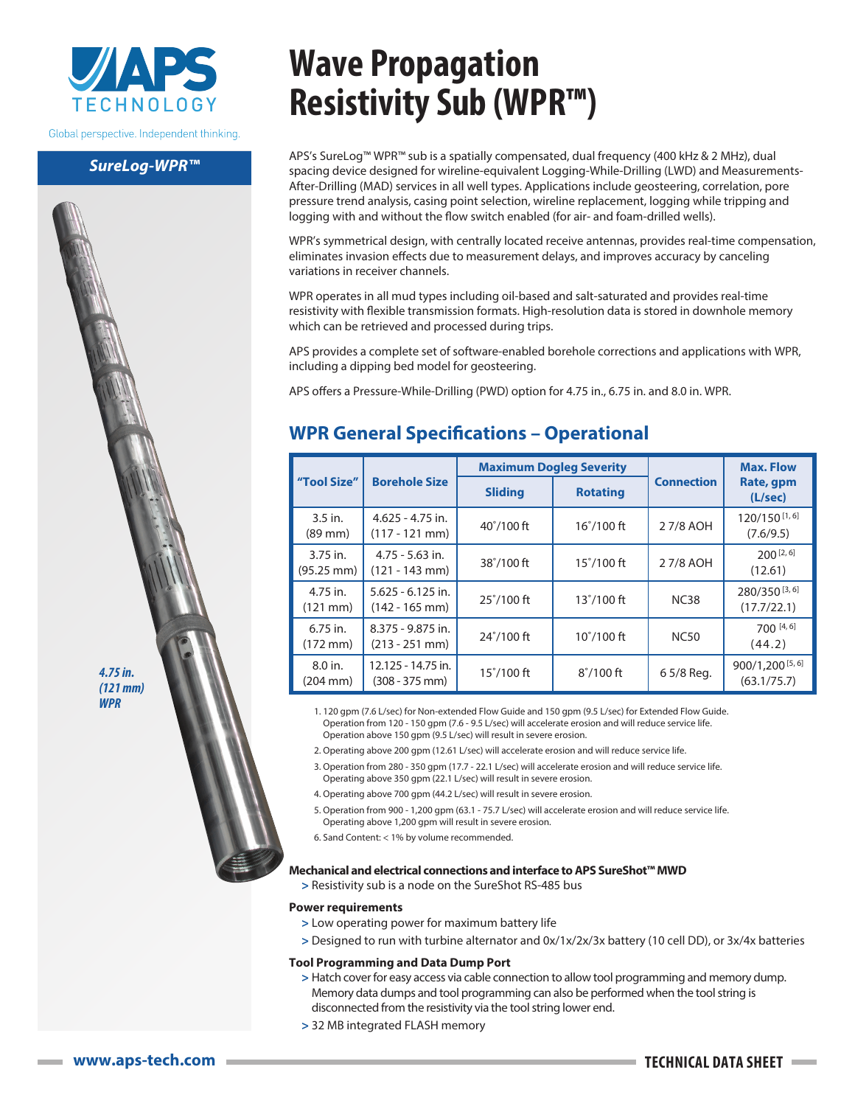

Global perspective. Independent thinking.

## *SureLog-WPR™*

# **Wave Propagation Resistivity Sub (WPR™)**

APS's SureLog™ WPR™ sub is a spatially compensated, dual frequency (400 kHz & 2 MHz), dual spacing device designed for wireline-equivalent Logging-While-Drilling (LWD) and Measurements-After-Drilling (MAD) services in all well types. Applications include geosteering, correlation, pore pressure trend analysis, casing point selection, wireline replacement, logging while tripping and logging with and without the flow switch enabled (for air- and foam-drilled wells).

WPR's symmetrical design, with centrally located receive antennas, provides real-time compensation, eliminates invasion effects due to measurement delays, and improves accuracy by canceling variations in receiver channels.

WPR operates in all mud types including oil-based and salt-saturated and provides real-time resistivity with flexible transmission formats. High-resolution data is stored in downhole memory which can be retrieved and processed during trips.

APS provides a complete set of software-enabled borehole corrections and applications with WPR, including a dipping bed model for geosteering.

APS offers a Pressure-While-Drilling (PWD) option for 4.75 in., 6.75 in. and 8.0 in. WPR.

# **WPR General Specifications – Operational**

|                                    |                                         | <b>Maximum Dogleg Severity</b> |                     |                   | <b>Max. Flow</b><br>Rate, gpm<br>(L/sec) |
|------------------------------------|-----------------------------------------|--------------------------------|---------------------|-------------------|------------------------------------------|
| "Tool Size"                        | <b>Borehole Size</b>                    | <b>Sliding</b>                 | <b>Rotating</b>     | <b>Connection</b> |                                          |
| $3.5$ in.<br>$(89 \text{ mm})$     | $4.625 - 4.75$ in.<br>$(117 - 121$ mm)  | $40^{\circ}/100$ ft            | $16^{\circ}/100$ ft | 27/8 AOH          | 120/150 [1, 6]<br>(7.6/9.5)              |
| 3.75 in.<br>$(95.25 \, \text{mm})$ | $4.75 - 5.63$ in.<br>$(121 - 143$ mm)   | $38^{\circ}/100$ ft            | $15^{\circ}/100$ ft | 27/8 AOH          | $200^{[2, 6]}$<br>(12.61)                |
| 4.75 in.<br>$(121 \, \text{mm})$   | $5.625 - 6.125$ in.<br>$(142 - 165$ mm) | $25^{\circ}/100$ ft            | $13^{\circ}/100$ ft | <b>NC38</b>       | 280/350 [3, 6]<br>(17.7/22.1)            |
| $6.75$ in.<br>$(172 \text{ mm})$   | 8.375 - 9.875 in.<br>$(213 - 251$ mm)   | $24^{\circ}/100$ ft            | $10^{\circ}/100$ ft | <b>NC50</b>       | 700 [4, 6]<br>(44.2)                     |
| 8.0 in.<br>$(204 \, \text{mm})$    | 12.125 - 14.75 in.<br>$(308 - 375$ mm)  | $15^{\circ}/100$ ft            | $8^{\circ}/100$ ft  | 6 5/8 Reg.        | 900/1,200 [5, 6]<br>(63.1/75.7)          |

1. 120 gpm (7.6 L/sec) for Non-extended Flow Guide and 150 gpm (9.5 L/sec) for Extended Flow Guide. Operation from 120 - 150 gpm (7.6 - 9.5 L/sec) will accelerate erosion and will reduce service life. Operation above 150 gpm (9.5 L/sec) will result in severe erosion.

- 2. Operating above 200 gpm (12.61 L/sec) will accelerate erosion and will reduce service life.
- 3. Operation from 280 350 gpm (17.7 22.1 L/sec) will accelerate erosion and will reduce service life. Operating above 350 gpm (22.1 L/sec) will result in severe erosion.
- 4. Operating above 700 gpm (44.2 L/sec) will result in severe erosion.
- 5. Operation from 900 1,200 gpm (63.1 75.7 L/sec) will accelerate erosion and will reduce service life. Operating above 1,200 gpm will result in severe erosion.
- 6. Sand Content: < 1% by volume recommended.

#### **Mechanical and electrical connections and interface to APS SureShot™ MWD**

**>** Resistivity sub is a node on the SureShot RS-485 bus

#### **Power requirements**

- **>** Low operating power for maximum battery life
- **>** Designed to run with turbine alternator and 0x/1x/2x/3x battery (10 cell DD), or 3x/4x batteries

#### **Tool Programming and Data Dump Port**

- **>** Hatch cover for easy access via cable connection to allow tool programming and memory dump. Memory data dumps and tool programming can also be performed when the tool string is disconnected from the resistivity via the tool string lower end.
- **>** 32 MB integrated FLASH memory

*4.75 in. (121 mm) WPR*